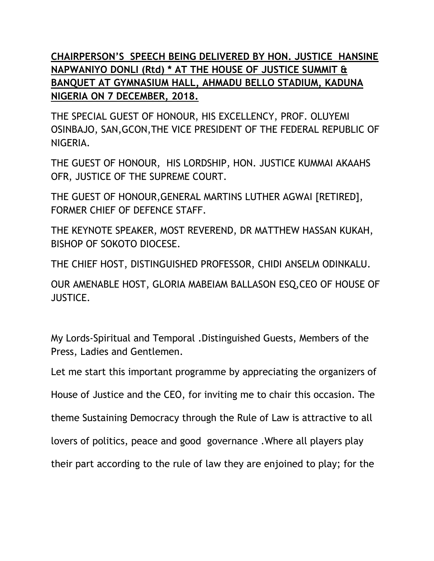**CHAIRPERSON'S SPEECH BEING DELIVERED BY HON. JUSTICE HANSINE NAPWANIYO DONLI (Rtd) \* AT THE HOUSE OF JUSTICE SUMMIT & BANQUET AT GYMNASIUM HALL, AHMADU BELLO STADIUM, KADUNA NIGERIA ON 7 DECEMBER, 2018.**

THE SPECIAL GUEST OF HONOUR, HIS EXCELLENCY, PROF. OLUYEMI OSINBAJO, SAN,GCON,THE VICE PRESIDENT OF THE FEDERAL REPUBLIC OF NIGERIA.

THE GUEST OF HONOUR, HIS LORDSHIP, HON. JUSTICE KUMMAI AKAAHS OFR, JUSTICE OF THE SUPREME COURT.

THE GUEST OF HONOUR,GENERAL MARTINS LUTHER AGWAI [RETIRED], FORMER CHIEF OF DEFENCE STAFF.

THE KEYNOTE SPEAKER, MOST REVEREND, DR MATTHEW HASSAN KUKAH, BISHOP OF SOKOTO DIOCESE.

THE CHIEF HOST, DISTINGUISHED PROFESSOR, CHIDI ANSELM ODINKALU.

OUR AMENABLE HOST, GLORIA MABEIAM BALLASON ESQ,CEO OF HOUSE OF JUSTICE.

My Lords-Spiritual and Temporal .Distinguished Guests, Members of the Press, Ladies and Gentlemen.

Let me start this important programme by appreciating the organizers of

House of Justice and the CEO, for inviting me to chair this occasion. The

theme Sustaining Democracy through the Rule of Law is attractive to all

lovers of politics, peace and good governance .Where all players play

their part according to the rule of law they are enjoined to play; for the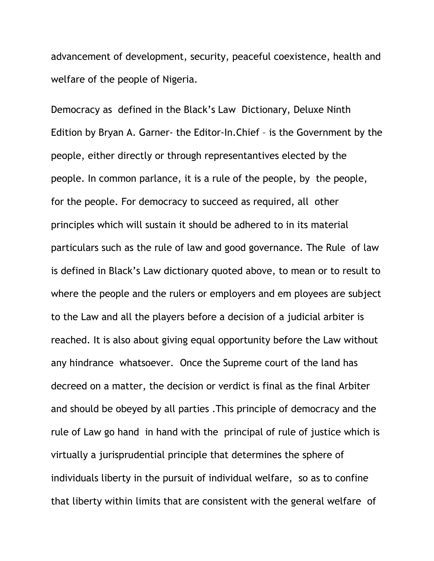advancement of development, security, peaceful coexistence, health and welfare of the people of Nigeria.

Democracy as defined in the Black's Law Dictionary, Deluxe Ninth Edition by Bryan A. Garner- the Editor-In.Chief – is the Government by the people, either directly or through representantives elected by the people. In common parlance, it is a rule of the people, by the people, for the people. For democracy to succeed as required, all other principles which will sustain it should be adhered to in its material particulars such as the rule of law and good governance. The Rule of law is defined in Black's Law dictionary quoted above, to mean or to result to where the people and the rulers or employers and em ployees are subject to the Law and all the players before a decision of a judicial arbiter is reached. It is also about giving equal opportunity before the Law without any hindrance whatsoever. Once the Supreme court of the land has decreed on a matter, the decision or verdict is final as the final Arbiter and should be obeyed by all parties .This principle of democracy and the rule of Law go hand in hand with the principal of rule of justice which is virtually a jurisprudential principle that determines the sphere of individuals liberty in the pursuit of individual welfare, so as to confine that liberty within limits that are consistent with the general welfare of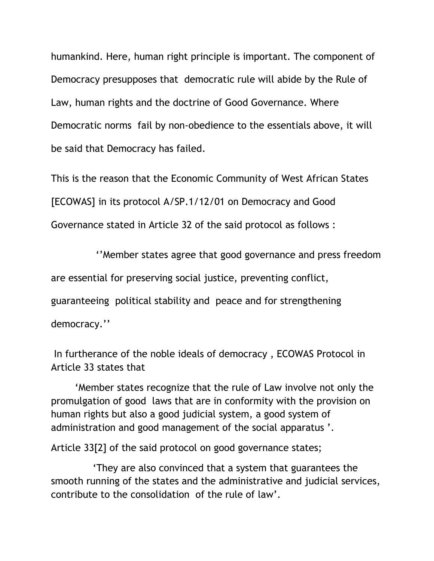humankind. Here, human right principle is important. The component of Democracy presupposes that democratic rule will abide by the Rule of Law, human rights and the doctrine of Good Governance. Where Democratic norms fail by non-obedience to the essentials above, it will be said that Democracy has failed.

This is the reason that the Economic Community of West African States [ECOWAS] in its protocol A/SP.1/12/01 on Democracy and Good Governance stated in Article 32 of the said protocol as follows :

 ''Member states agree that good governance and press freedom are essential for preserving social justice, preventing conflict, guaranteeing political stability and peace and for strengthening democracy.''

In furtherance of the noble ideals of democracy , ECOWAS Protocol in Article 33 states that

 'Member states recognize that the rule of Law involve not only the promulgation of good laws that are in conformity with the provision on human rights but also a good judicial system, a good system of administration and good management of the social apparatus '.

Article 33[2] of the said protocol on good governance states;

 'They are also convinced that a system that guarantees the smooth running of the states and the administrative and judicial services, contribute to the consolidation of the rule of law'.